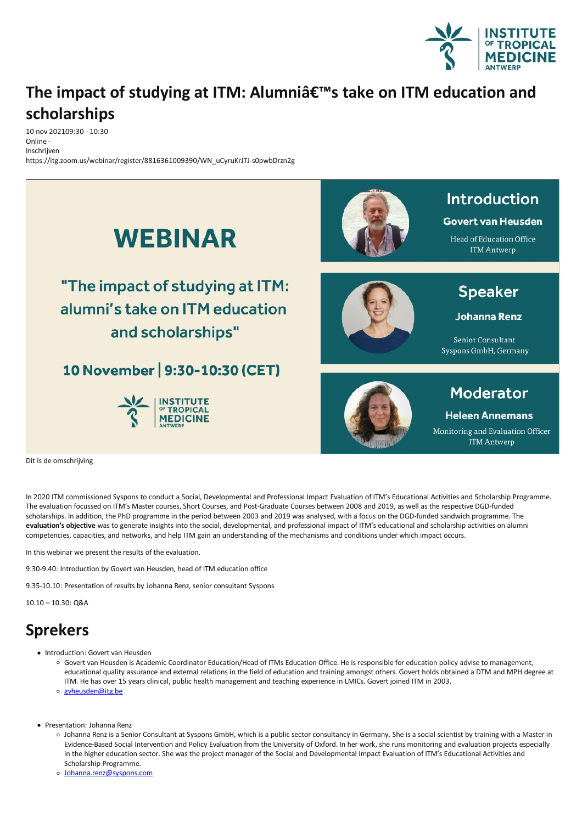

## **The impact of studying at ITM: Alumni's take on ITM education and scholarships**

10 nov 202109:30 - 10:30 Online - Inschrijven https://itg.zoom.us/webinar/register/8816361009390/WN\_uCyruKrJTJ-s0pwbDrzn2g



Dit is de omschrijving

In 2020 ITM commissioned Syspons to conduct a Social, Developmental and Professional Impact Evaluation of ITM's Educational Activities and Scholarship Programme. The evaluation focussed on ITM's Master courses, Short Courses, and Post-Graduate Courses between 2008 and 2019, as well as the respective DGD-funded scholarships. In addition, the PhD programme in the period between 2003 and 2019 was analysed, with a focus on the DGD-funded sandwich programme. The evaluation's objective was to generate insights into the social, developmental, and professional impact of ITM's educational and scholarship activities on alumni competencies, capacities, and networks, and help ITM gain an understanding of the mechanisms and conditions under which impact occurs.

In this webinar we present the results of the evaluation.

9.30-9.40: Introduction by Govert van Heusden, head of ITM education office

9.35-10.10: Presentation of results by Johanna Renz, senior consultant Syspons

10.10 – 10.30: Q&A

## **Sprekers**

- 
- Introduction: Govert van Heusden<br>Govert van Heusden is Academic Coordinator Education/Head of ITMs Education Office. He is responsible for education policy advise to management. educational quality assurance and external relations in the field of education and trainingamongst others. Govert holds obtained a DTM and MPH degree at ITM. He has over 15 years clinical, public health management and teaching experience in LMICs. Govert joined ITM in 2003.
	- o gyheusden@itg.be
- Presentation: Johanna Renz
	- o Johanna Renz is a Senior Consultant at Syspons GmbH, which is a public sector consultancy in Germany. She is a social scientist by training with a Master in Evidence-Based Social Intervention and Policy Evaluation from the University of Oxford. In her work, she runs monitoringand evaluation projects especially in the higher education sector. She was the project manager of the Social and Developmental Impact Evaluation of ITM's Educational Activities and Scholarship Programme.
	- o [Johanna.renz@syspons.com](mailto:Johanna.renz@syspons.com)